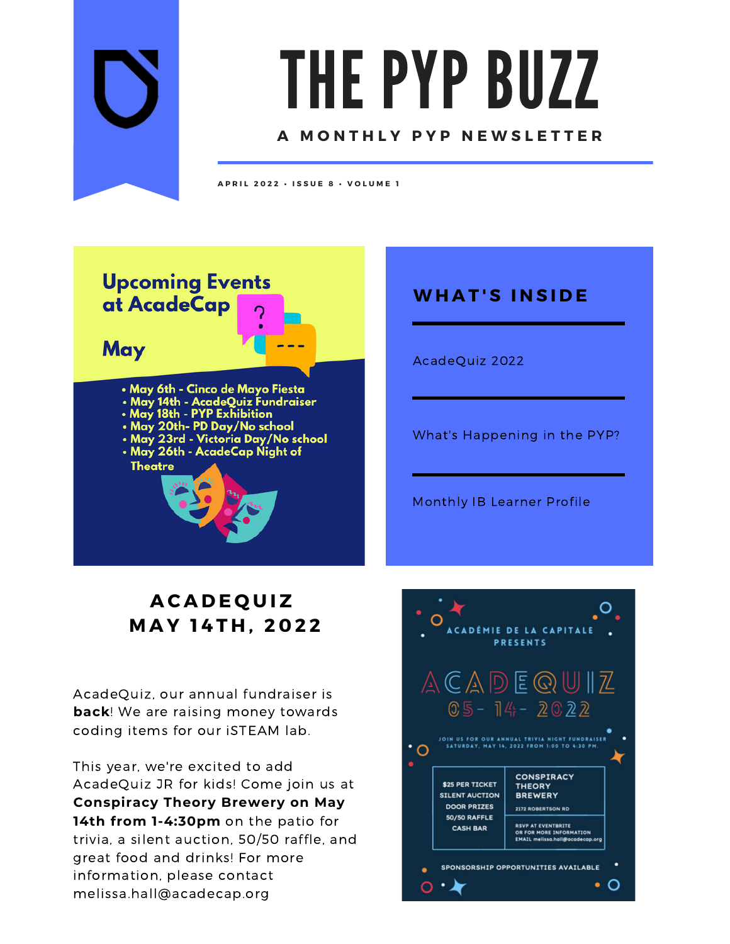

# THE PYP BUZZ

#### **A M O N T H L Y P Y P N E W S L E T T E R**

**A P R I L 2 0 2 2 • I S S U E 8 • V O L U M E 1**



## **WH A T ' S I N S I D E**

AcadeQuiz 2022

What's Happening in the PYP?

Monthly IB Learner Profile

## **A C A D E Q U I Z M A Y 1 4 T H , 2 0 2 2**

AcadeQuiz, our annual fundraiser is **back**! We are raising money towards coding items for our iSTEAM lab.

This year, we're excited to add AcadeQuiz JR for kids! Come join us at **Conspiracy Theory Brewery on May 14th from 1-4:30pm** on the patio for trivia, a silent auction, 50/50 raffle, and great food and drinks! For more information, please contact melissa.hall@acadecap.org